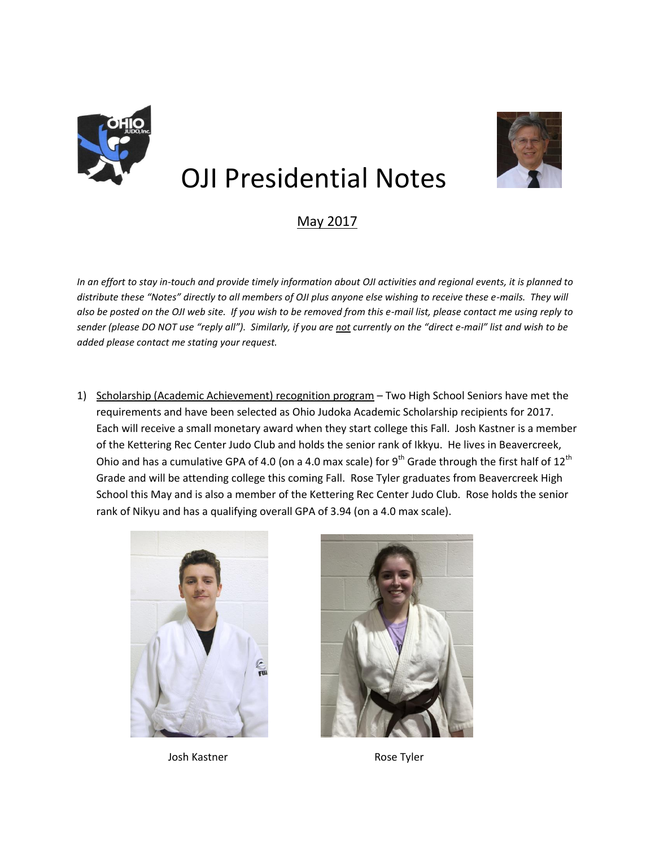

## OJI Presidential Notes

## May 2017

*In an effort to stay in-touch and provide timely information about OJI activities and regional events, it is planned to distribute these "Notes" directly to all members of OJI plus anyone else wishing to receive these e-mails. They will also be posted on the OJI web site. If you wish to be removed from this e-mail list, please contact me using reply to sender (please DO NOT use "reply all"). Similarly, if you are not currently on the "direct e-mail" list and wish to be added please contact me stating your request.*

1) Scholarship (Academic Achievement) recognition program – Two High School Seniors have met the requirements and have been selected as Ohio Judoka Academic Scholarship recipients for 2017. Each will receive a small monetary award when they start college this Fall. Josh Kastner is a member of the Kettering Rec Center Judo Club and holds the senior rank of Ikkyu. He lives in Beavercreek, Ohio and has a cumulative GPA of 4.0 (on a 4.0 max scale) for 9<sup>th</sup> Grade through the first half of 12<sup>th</sup> Grade and will be attending college this coming Fall. Rose Tyler graduates from Beavercreek High School this May and is also a member of the Kettering Rec Center Judo Club. Rose holds the senior rank of Nikyu and has a qualifying overall GPA of 3.94 (on a 4.0 max scale).



Josh Kastner **Rose Tyler** Rose Tyler